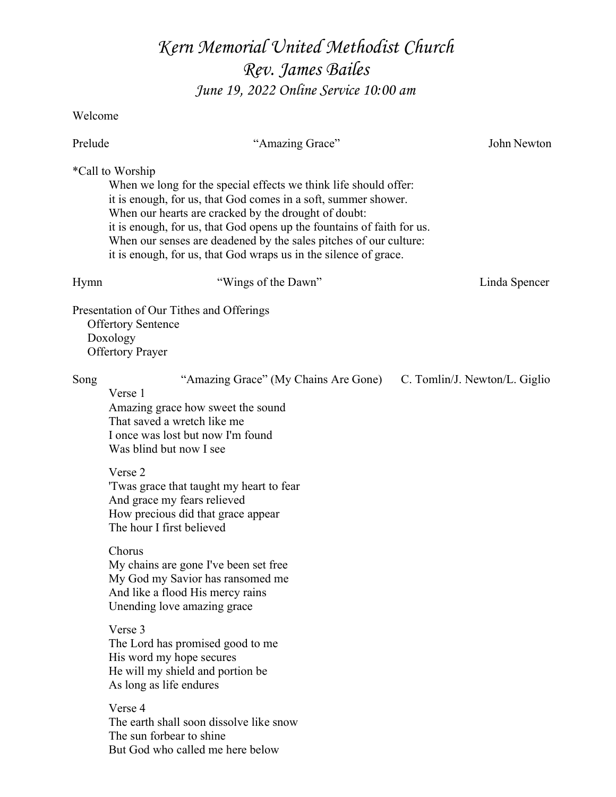# Kern Memorial United Methodist Church Rev. James Bailes June 19, 2022 Online Service 10:00 am

Welcome Prelude "Amazing Grace" John Newton \*Call to Worship When we long for the special effects we think life should offer: it is enough, for us, that God comes in a soft, summer shower. When our hearts are cracked by the drought of doubt: it is enough, for us, that God opens up the fountains of faith for us. When our senses are deadened by the sales pitches of our culture: it is enough, for us, that God wraps us in the silence of grace. Hymn "Wings of the Dawn" Linda Spencer Presentation of Our Tithes and Offerings Offertory Sentence Doxology Offertory Prayer Song "Amazing Grace" (My Chains Are Gone) C. Tomlin/J. Newton/L. Giglio Verse 1 Amazing grace how sweet the sound That saved a wretch like me I once was lost but now I'm found Was blind but now I see Verse 2 'Twas grace that taught my heart to fear And grace my fears relieved How precious did that grace appear The hour I first believed Chorus My chains are gone I've been set free My God my Savior has ransomed me And like a flood His mercy rains Unending love amazing grace Verse 3 The Lord has promised good to me His word my hope secures He will my shield and portion be As long as life endures Verse 4 The earth shall soon dissolve like snow The sun forbear to shine

But God who called me here below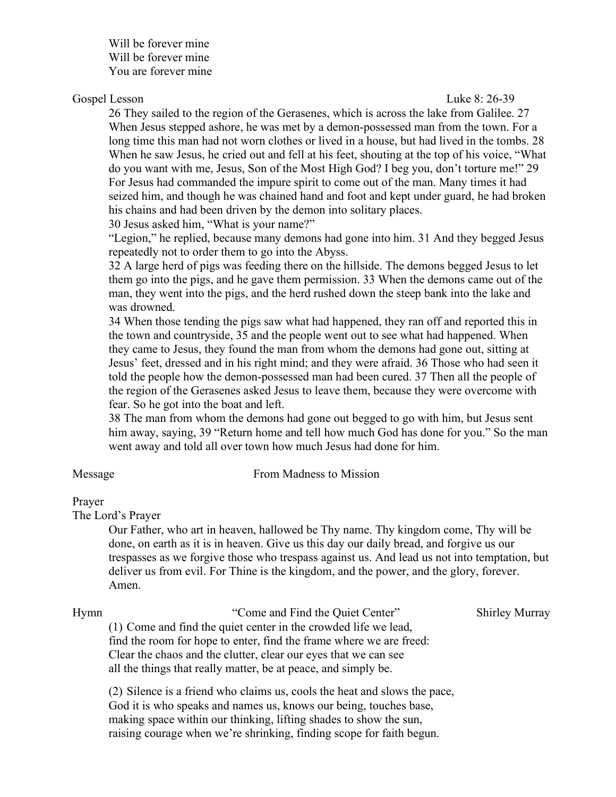Will be forever mine Will be forever mine You are forever mine

### Gospel Lesson Luke 8: 26-39

26 They sailed to the region of the Gerasenes, which is across the lake from Galilee. 27 When Jesus stepped ashore, he was met by a demon-possessed man from the town. For a long time this man had not worn clothes or lived in a house, but had lived in the tombs. 28 When he saw Jesus, he cried out and fell at his feet, shouting at the top of his voice, "What do you want with me, Jesus, Son of the Most High God? I beg you, don't torture me!" 29 For Jesus had commanded the impure spirit to come out of the man. Many times it had seized him, and though he was chained hand and foot and kept under guard, he had broken his chains and had been driven by the demon into solitary places.

30 Jesus asked him, "What is your name?"

"Legion," he replied, because many demons had gone into him. 31 And they begged Jesus repeatedly not to order them to go into the Abyss.

32 A large herd of pigs was feeding there on the hillside. The demons begged Jesus to let them go into the pigs, and he gave them permission. 33 When the demons came out of the man, they went into the pigs, and the herd rushed down the steep bank into the lake and was drowned.

34 When those tending the pigs saw what had happened, they ran off and reported this in the town and countryside, 35 and the people went out to see what had happened. When they came to Jesus, they found the man from whom the demons had gone out, sitting at Jesus' feet, dressed and in his right mind; and they were afraid. 36 Those who had seen it told the people how the demon-possessed man had been cured. 37 Then all the people of the region of the Gerasenes asked Jesus to leave them, because they were overcome with fear. So he got into the boat and left.

38 The man from whom the demons had gone out begged to go with him, but Jesus sent him away, saying, 39 "Return home and tell how much God has done for you." So the man went away and told all over town how much Jesus had done for him.

Message From Madness to Mission

Prayer

The Lord's Prayer

Our Father, who art in heaven, hallowed be Thy name. Thy kingdom come, Thy will be done, on earth as it is in heaven. Give us this day our daily bread, and forgive us our trespasses as we forgive those who trespass against us. And lead us not into temptation, but deliver us from evil. For Thine is the kingdom, and the power, and the glory, forever. Amen.

Hymn "Come and Find the Quiet Center" Shirley Murray (1) Come and find the quiet center in the crowded life we lead, find the room for hope to enter, find the frame where we are freed: Clear the chaos and the clutter, clear our eyes that we can see all the things that really matter, be at peace, and simply be.

(2) Silence is a friend who claims us, cools the heat and slows the pace, God it is who speaks and names us, knows our being, touches base, making space within our thinking, lifting shades to show the sun, raising courage when we're shrinking, finding scope for faith begun.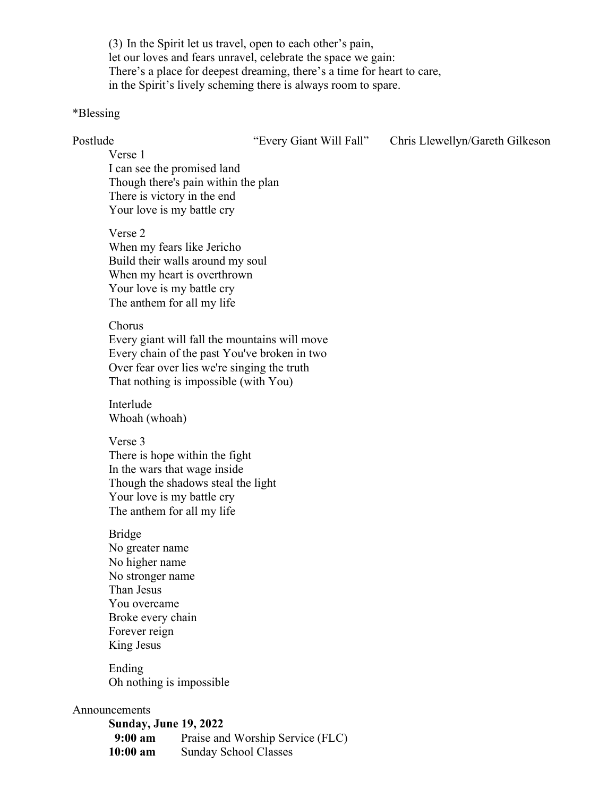(3) In the Spirit let us travel, open to each other's pain, let our loves and fears unravel, celebrate the space we gain: There's a place for deepest dreaming, there's a time for heart to care, in the Spirit's lively scheming there is always room to spare.

### \*Blessing

Postlude "Every Giant Will Fall" Chris Llewellyn/Gareth Gilkeson

Verse 1 I can see the promised land Though there's pain within the plan There is victory in the end Your love is my battle cry

### Verse 2

When my fears like Jericho Build their walls around my soul When my heart is overthrown Your love is my battle cry The anthem for all my life

#### Chorus

Every giant will fall the mountains will move Every chain of the past You've broken in two Over fear over lies we're singing the truth That nothing is impossible (with You)

Interlude Whoah (whoah)

Verse 3

There is hope within the fight In the wars that wage inside Though the shadows steal the light Your love is my battle cry The anthem for all my life

### Bridge

No greater name No higher name No stronger name Than Jesus You overcame Broke every chain Forever reign King Jesus

Ending Oh nothing is impossible

#### Announcements

Sunday, June 19, 2022

| $9:00 \text{ am}$ | Praise and Worship Service (FLC) |
|-------------------|----------------------------------|
| 10:00 am          | <b>Sunday School Classes</b>     |